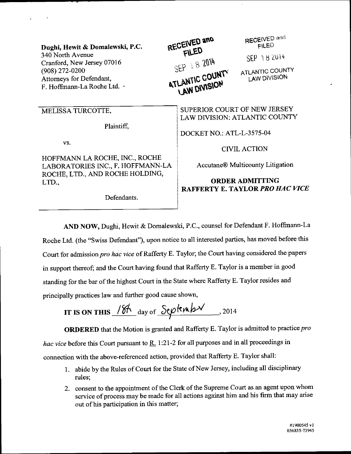Dughi, Hewit & Domalewski, P.C. 340 North Avenue Cranford, New Jersey 07016 (908) 272-0200 Attorneys for Defendant, F. Hoffmann-La Roche Ltd. .

## MELISSA TURCOTTE.

Plaintiff,

VS.

HOFFMANN LA ROCHE, INC., ROCHE LABORATORIES INC., F. HOFFMANN-LA ROCHE, LTD., AND ROCHE HOLDING, LTD.,

Defendants.

RECEIVED and FILED SEP 182014 ATLANTIC COUNTY **LAW DIVISION** 

RECEIVED and FILED

SEP 18 2014

ATLANTIC COUNTY **LAW DIVISION** 

SUPERIOR COURT OF NEW JERSEY LAW DIVISION: ATLANTIC COUNTY

DOCKET NO.: ATL-L-3575-04

**CIVIL ACTION** 

**Accutane® Multicounty Litigation** 

## **ORDER ADMITTING RAFFERTY E. TAYLOR PRO HAC VICE**

AND NOW, Dughi, Hewit & Domalewski, P.C., counsel for Defendant F. Hoffmann-La Roche Ltd. (the "Swiss Defendant"), upon notice to all interested parties, has moved before this Court for admission pro hac vice of Rafferty E. Taylor; the Court having considered the papers in support thereof; and the Court having found that Rafferty E. Taylor is a member in good standing for the bar of the highest Court in the State where Rafferty E. Taylor resides and principally practices law and further good cause shown,

IT IS ON THIS 
$$
\frac{184}{9}
$$
 day of Septenby 2014

**ORDERED** that the Motion is granted and Rafferty E. Taylor is admitted to practice pro hac vice before this Court pursuant to  $R_1$ . 1:21-2 for all purposes and in all proceedings in connection with the above-referenced action, provided that Rafferty E. Taylor shall:

- 1. abide by the Rules of Court for the State of New Jersey, including all disciplinary rules:
- 2. consent to the appointment of the Clerk of the Supreme Court as an agent upon whom service of process may be made for all actions against him and his firm that may arise out of his participation in this matter;